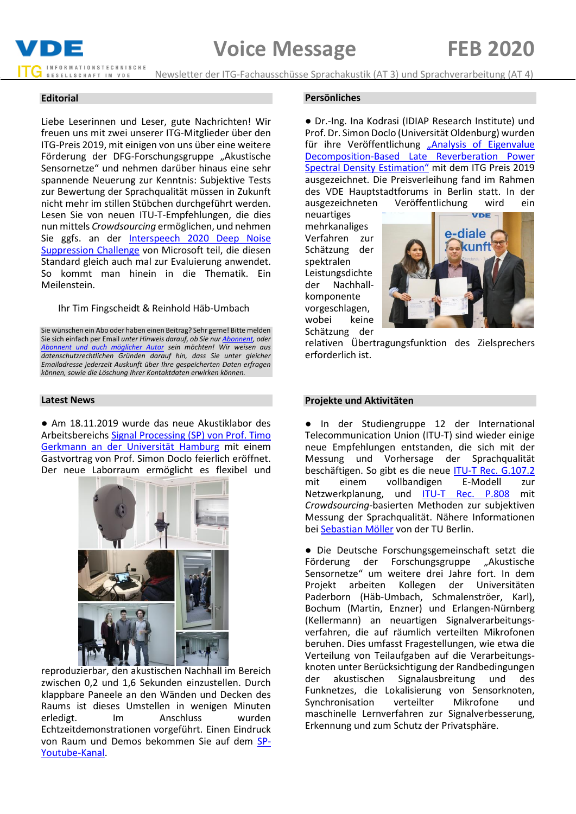

Newsletter der ITG-Fachausschüsse Sprachakustik (AT 3) und Sprachverarbeitung (AT 4)

## **Editorial**

Liebe Leserinnen und Leser, gute Nachrichten! Wir freuen uns mit zwei unserer ITG-Mitglieder über den ITG-Preis 2019, mit einigen von uns über eine weitere Förderung der DFG-Forschungsgruppe "Akustische Sensornetze" und nehmen darüber hinaus eine sehr spannende Neuerung zur Kenntnis: Subjektive Tests zur Bewertung der Sprachqualität müssen in Zukunft nicht mehr im stillen Stübchen durchgeführt werden. Lesen Sie von neuen ITU-T-Empfehlungen, die dies nun mittels *Crowdsourcing* ermöglichen, und nehmen Sie ggfs. an der [Interspeech 2020 Deep Noise](https://dns-challenge.azurewebsites.net/)  [Suppression Challenge](https://dns-challenge.azurewebsites.net/) von Microsoft teil, die diesen Standard gleich auch mal zur Evaluierung anwendet. So kommt man hinein in die Thematik. Ein Meilenstein.

#### Ihr Tim Fingscheidt & Reinhold Häb-Umbach

Sie wünschen ein Abo oder haben einen Beitrag? Sehr gerne! Bitte melden Sie sich einfach per Email *unter Hinweis darauf, ob Sie nu[r Abonnent,](mailto:t.fingscheidt@tu-bs.de?subject=Abo%20Voice%20Message%20(kein%20Beitrag)) oder [Abonnent und auch möglicher Autor](mailto:t.fingscheidt@tu-bs.de?subject=Abo%20und%20Beitrag%20Voice%20Message) sein möchten! Wir weisen aus datenschutzrechtlichen Gründen darauf hin, dass Sie unter gleicher Emailadresse jederzeit Auskunft über Ihre gespeicherten Daten erfragen können, sowie die Löschung Ihrer Kontaktdaten erwirken können.*

## **Latest News**

● Am 18.11.2019 wurde das neue Akustiklabor des Arbeitsbereichs [Signal Processing \(SP\) von Prof. Timo](http://uhh.de/inf-sp)  [Gerkmann an der Universität Hamburg](http://uhh.de/inf-sp) mit einem Gastvortrag von Prof. Simon Doclo feierlich eröffnet. Der neue Laborraum ermöglicht es flexibel und



reproduzierbar, den akustischen Nachhall im Bereich zwischen 0,2 und 1,6 Sekunden einzustellen. Durch klappbare Paneele an den Wänden und Decken des Raums ist dieses Umstellen in wenigen Minuten erledigt. Im Anschluss wurden Echtzeitdemonstrationen vorgeführt. Einen Eindruck von Raum und Demos bekommen Sie auf dem [SP-](https://www.youtube.com/watch?v=_wPZ2l12C-o&list=PLdsnmRiYvouBbSj_wxZhthEiwVp6TfDKN)[Youtube-Kanal.](https://www.youtube.com/watch?v=_wPZ2l12C-o&list=PLdsnmRiYvouBbSj_wxZhthEiwVp6TfDKN)

#### **Persönliches**

● Dr.-Ing. Ina Kodrasi (IDIAP Research Institute) und Prof. Dr. Simon Doclo (Universität Oldenburg) wurden für ihre Veröffentlichung "Analysis of Eigenvalue [Decomposition-Based Late Reverberation Power](https://ieeexplore.ieee.org/document/8306121)  [Spectral Densit](https://ieeexplore.ieee.org/document/8306121)y Estimation" mit dem ITG Preis 2019 ausgezeichnet. Die Preisverleihung fand im Rahmen des VDE Hauptstadtforums in Berlin statt. In der ausgezeichneten Veröffentlichung wird ein

neuartiges mehrkanaliges Verfahren zur Schätzung der spektralen Leistungsdichte der Nachhallkomponente vorgeschlagen, wobei keine Schätzung der



relativen Übertragungsfunktion des Zielsprechers erforderlich ist.

## **Projekte und Aktivitäten**

● In der Studiengruppe 12 der International Telecommunication Union (ITU-T) sind wieder einige neue Empfehlungen entstanden, die sich mit der Messung und Vorhersage der Sprachqualität beschäftigen. So gibt es die neue [ITU-T Rec. G.107.2](https://www.itu.int/itu-t/recommendations/rec.aspx?rec=13926) mit einem vollbandigen E-Modell zur Netzwerkplanung, und [ITU-T Rec. P.808](https://www.itu.int/itu-t/recommendations/rec.aspx?rec=13625) mit *Crowdsourcing*-basierten Methoden zur subjektiven Messung der Sprachqualität. Nähere Informationen be[i Sebastian Möller](https://www.qu.tu-berlin.de/menue/team/professur/) von der TU Berlin.

● Die Deutsche Forschungsgemeinschaft setzt die Förderung der Forschungsgruppe "Akustische Sensornetze" um weitere drei Jahre fort. In dem Projekt arbeiten Kollegen der Universitäten Paderborn (Häb-Umbach, Schmalenströer, Karl), Bochum (Martin, Enzner) und Erlangen-Nürnberg (Kellermann) an neuartigen Signalverarbeitungsverfahren, die auf räumlich verteilten Mikrofonen beruhen. Dies umfasst Fragestellungen, wie etwa die Verteilung von Teilaufgaben auf die Verarbeitungsknoten unter Berücksichtigung der Randbedingungen der akustischen Signalausbreitung und des Funknetzes, die Lokalisierung von Sensorknoten,<br>Synchronisation verteilter Mikrofone und Synchronisation verteilter Mikrofone und maschinelle Lernverfahren zur Signalverbesserung, Erkennung und zum Schutz der Privatsphäre.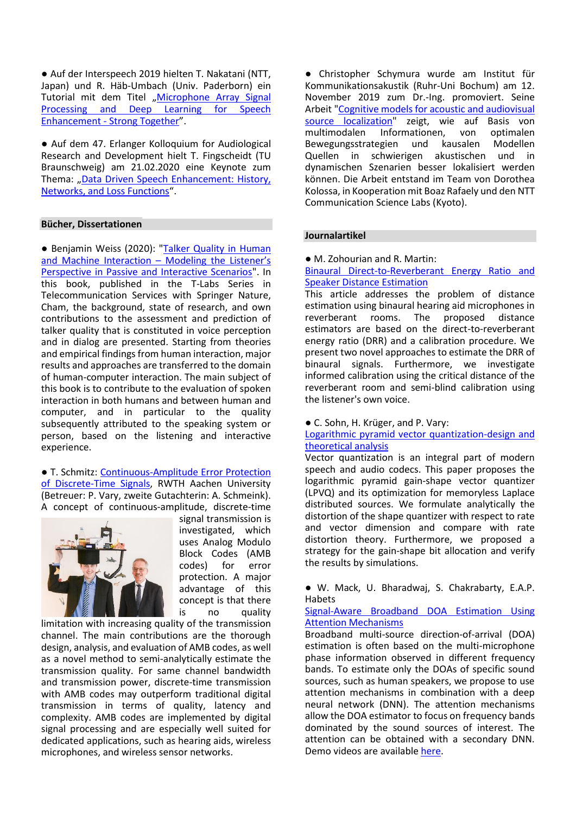● Auf der Interspeech 2019 hielten T. Nakatani (NTT, Japan) und R. Häb-Umbach (Univ. Paderborn) ein Tutorial mit dem Titel "Microphone Array Signal [Processing and Deep Learning for Speech](https://ei.uni-paderborn.de/fileadmin/elektrotechnik/fg/nth/Forschung/Publications/Interspeech_2019_Tutorial/T8_allslides_plusreferences.pdf)  Enhancement - [Strong Together](https://ei.uni-paderborn.de/fileadmin/elektrotechnik/fg/nth/Forschung/Publications/Interspeech_2019_Tutorial/T8_allslides_plusreferences.pdf)".

● Auf dem 47. Erlanger Kolloquium for Audiological Research and Development hielt T. Fingscheidt (TU Braunschweig) am 21.02.2020 eine Keynote zum Thema: "Data Driven Speech Enhancement: History, [Networks, and Loss Functions](https://www.researchgate.net/publication/339412928_Data-Driven_Speech_Enhancement_History_Networks_Loss_Functions)".

## **Bücher, Dissertationen**

● Benjamin Weiss (2020): "Talker Quality in Human [and Machine Interaction](https://rd.springer.com/book/10.1007/978-3-030-22769-2) - Modeling the Listener's [Perspective in Passive and Interactive Scenarios"](https://rd.springer.com/book/10.1007/978-3-030-22769-2). In this book, published in the T-Labs Series in Telecommunication Services with Springer Nature, Cham, the background, state of research, and own contributions to the assessment and prediction of talker quality that is constituted in voice perception and in dialog are presented. Starting from theories and empirical findings from human interaction, major results and approaches are transferred to the domain of human-computer interaction. The main subject of this book is to contribute to the evaluation of spoken interaction in both humans and between human and computer, and in particular to the quality subsequently attributed to the speaking system or person, based on the listening and interactive experience.

#### ● T. Schmitz: [Continuous-Amplitude Error Protection](https://www.iks.rwth-aachen.de/institut/ueber-uns/alumni/tim-schmitz/)  [of Discrete-Time Signals,](https://www.iks.rwth-aachen.de/institut/ueber-uns/alumni/tim-schmitz/) RWTH Aachen University (Betreuer: P. Vary, zweite Gutachterin: A. Schmeink). A concept of continuous-amplitude, discrete-time



signal transmission is investigated, which uses Analog Modulo Block Codes (AMB codes) for error protection. A major advantage of this concept is that there is no quality

limitation with increasing quality of the transmission channel. The main contributions are the thorough design, analysis, and evaluation of AMB codes, as well as a novel method to semi-analytically estimate the transmission quality. For same channel bandwidth and transmission power, discrete-time transmission with AMB codes may outperform traditional digital transmission in terms of quality, latency and complexity. AMB codes are implemented by digital signal processing and are especially well suited for dedicated applications, such as hearing aids, wireless microphones, and wireless sensor networks.

● Christopher Schymura wurde am Institut für Kommunikationsakustik (Ruhr-Uni Bochum) am 12. November 2019 zum Dr.-Ing. promoviert. Seine Arbeit ["Cognitive models for acoustic and audiovisual](https://theses.eurasip.org/theses/856/cognitive-models-for-acoustic-and-audiovisual/)  [source localization"](https://theses.eurasip.org/theses/856/cognitive-models-for-acoustic-and-audiovisual/) zeigt, wie auf Basis von<br>multimodalen Informationen. von optimalen Informationen. Bewegungsstrategien und kausalen Modellen Quellen in schwierigen akustischen und in dynamischen Szenarien besser lokalisiert werden können. Die Arbeit entstand im Team von Dorothea Kolossa, in Kooperation mit Boaz Rafaely und den NTT Communication Science Labs (Kyoto).

#### **Journalartikel**

● M. Zohourian and R. Martin:

### [Binaural Direct-to-Reverberant Energy Ratio and](https://ieeexplore.ieee.org/document/8878108)  [Speaker Distance Estimation](https://ieeexplore.ieee.org/document/8878108)

This article addresses the problem of distance estimation using binaural hearing aid microphones in<br>reverberant rooms. The proposed distance reverberant rooms. The proposed distance estimators are based on the direct-to-reverberant energy ratio (DRR) and a calibration procedure. We present two novel approaches to estimate the DRR of binaural signals. Furthermore, we investigate informed calibration using the critical distance of the reverberant room and semi-blind calibration using the listener's own voice.

● C. Sohn, H. Krüger, and P. Vary:

# [Logarithmic pyramid vector quantization-design and](https://ieeexplore.ieee.org/abstract/document/8878163)  [theoretical analysis](https://ieeexplore.ieee.org/abstract/document/8878163)

Vector quantization is an integral part of modern speech and audio codecs. This paper proposes the logarithmic pyramid gain-shape vector quantizer (LPVQ) and its optimization for memoryless Laplace distributed sources. We formulate analytically the distortion of the shape quantizer with respect to rate and vector dimension and compare with rate distortion theory. Furthermore, we proposed a strategy for the gain-shape bit allocation and verify the results by simulations.

● W. Mack, U. Bharadwaj, S. Chakrabarty, E.A.P. **Habets** 

## [Signal-Aware Broadband DOA Estimation Using](https://ieeexplore.ieee.org/abstract/document/8651493)  [Attention Mechanisms](https://ieeexplore.ieee.org/abstract/document/8651493)

Broadband multi-source direction-of-arrival (DOA) estimation is often based on the multi-microphone phase information observed in different frequency bands. To estimate only the DOAs of specific sound sources, such as human speakers, we propose to use attention mechanisms in combination with a deep neural network (DNN). The attention mechanisms allow the DOA estimator to focus on frequency bands dominated by the sound sources of interest. The attention can be obtained with a secondary DNN. Demo videos are available [here.](https://www.audiolabs-erlangen.de/resources/2020-ICASSP-SigAwareDOA)